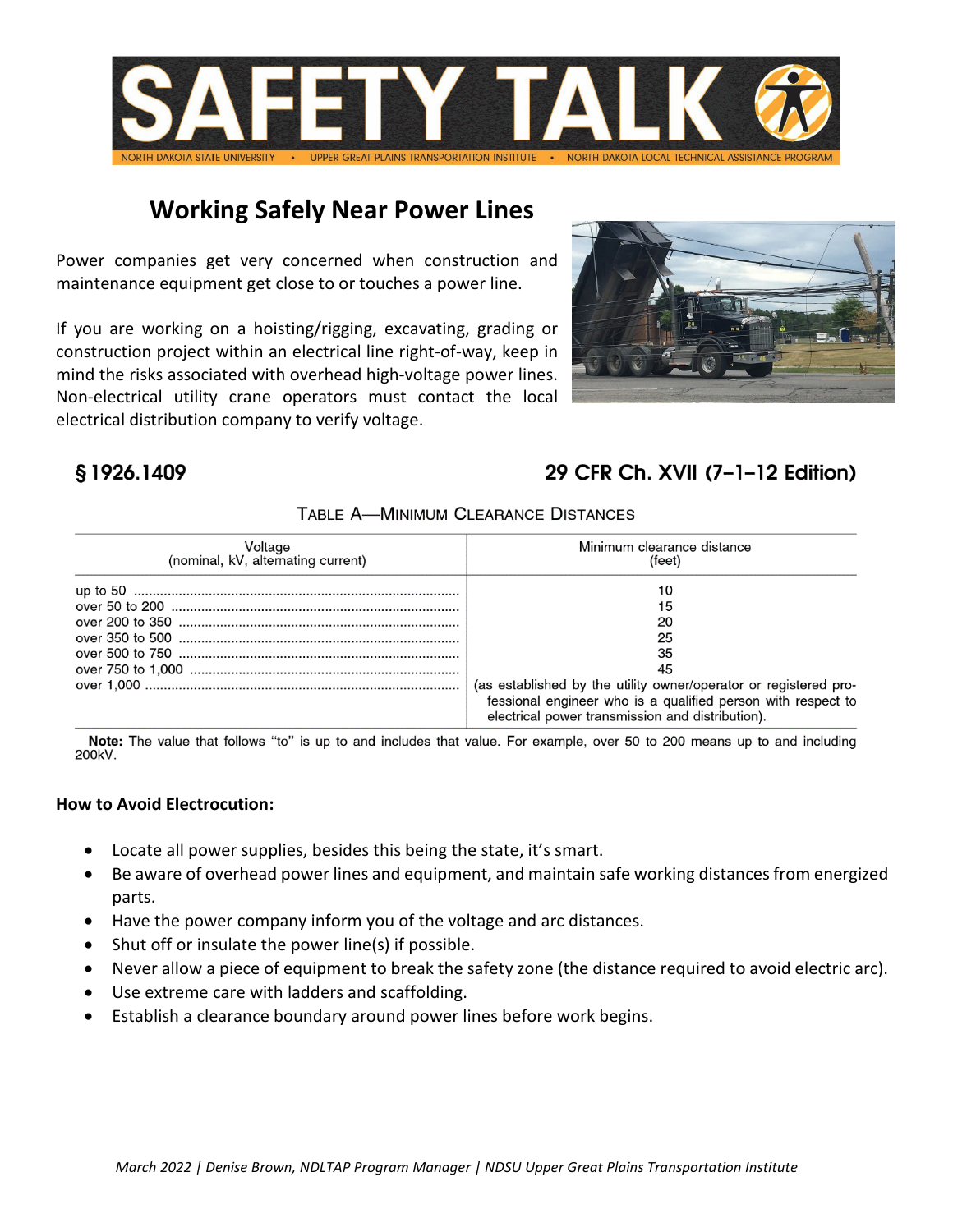

## **Working Safely Near Power Lines**

Power companies get very concerned when construction and maintenance equipment get close to or touches a power line.

If you are working on a hoisting/rigging, excavating, grading or construction project within an electrical line right-of-way, keep in mind the risks associated with overhead high-voltage power lines. Non-electrical utility crane operators must contact the local electrical distribution company to verify voltage.



### \$1926.1409

## 29 CFR Ch. XVII (7-1-12 Edition)

#### TABLE A-MINIMUM CLEARANCE DISTANCES

| Voltage                            | Minimum clearance distance                                                                                                                                                                                               |
|------------------------------------|--------------------------------------------------------------------------------------------------------------------------------------------------------------------------------------------------------------------------|
| (nominal, kV, alternating current) | (feet)                                                                                                                                                                                                                   |
|                                    | 10<br>15<br>20<br>25<br>35<br>45<br>(as established by the utility owner/operator or registered pro-<br>fessional engineer who is a qualified person with respect to<br>electrical power transmission and distribution). |

Note: The value that follows "to" is up to and includes that value. For example, over 50 to 200 means up to and including 200kV.

#### **How to Avoid Electrocution:**

- Locate all power supplies, besides this being the state, it's smart.
- Be aware of overhead power lines and equipment, and maintain safe working distances from energized parts.
- Have the power company inform you of the voltage and arc distances.
- Shut off or insulate the power line(s) if possible.
- Never allow a piece of equipment to break the safety zone (the distance required to avoid electric arc).
- Use extreme care with ladders and scaffolding.
- Establish a clearance boundary around power lines before work begins.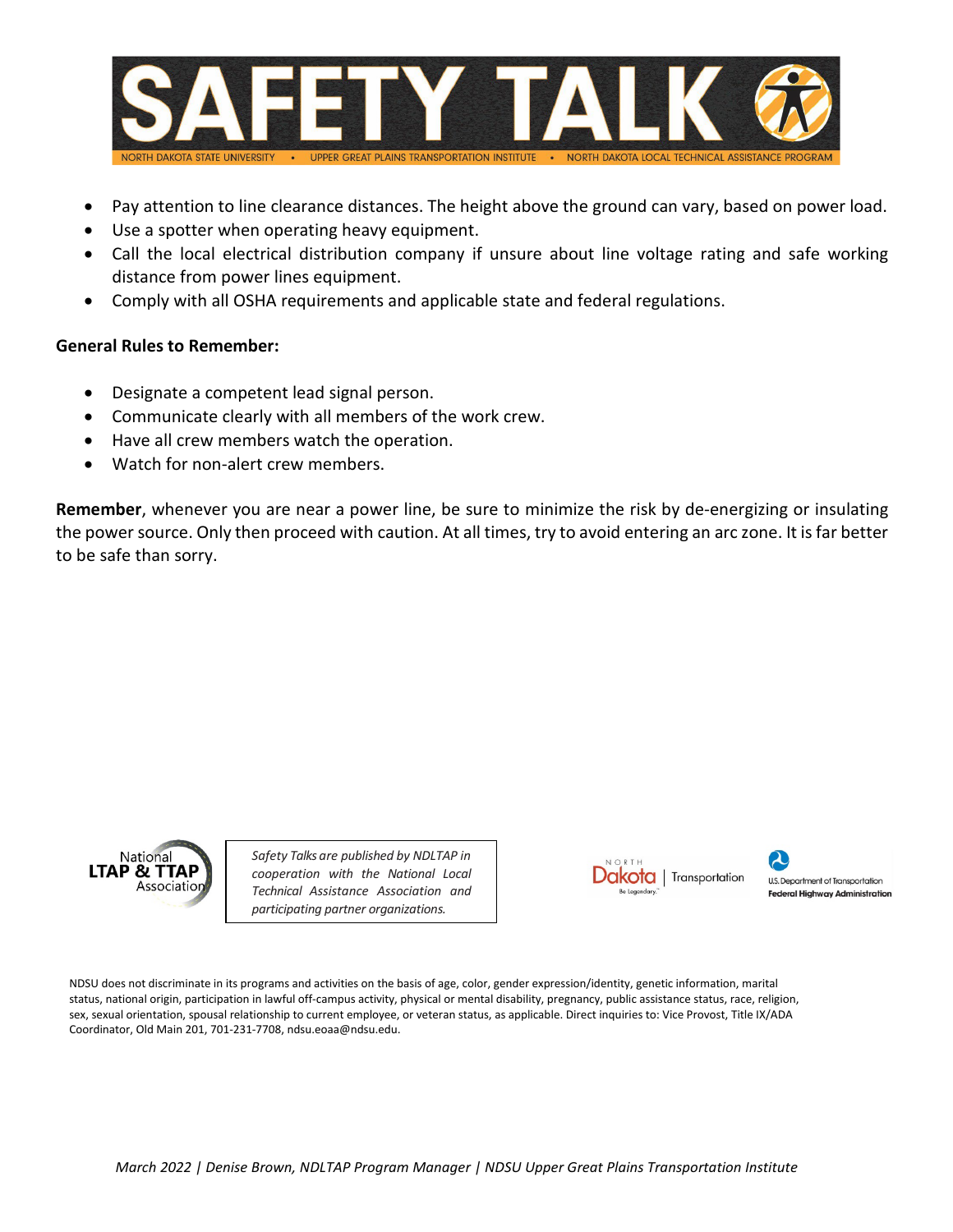

- Pay attention to line clearance distances. The height above the ground can vary, based on power load.
- Use a spotter when operating heavy equipment.
- Call the local electrical distribution company if unsure about line voltage rating and safe working distance from power lines equipment.
- Comply with all OSHA requirements and applicable state and federal regulations.

#### **General Rules to Remember:**

- Designate a competent lead signal person.
- Communicate clearly with all members of the work crew.
- Have all crew members watch the operation.
- Watch for non-alert crew members.

**Remember**, whenever you are near a power line, be sure to minimize the risk by de-energizing or insulating the power source. Only then proceed with caution. At all times, try to avoid entering an arc zone. It is far better to be safe than sorry.



*Safety Talks are published by NDLTAP in cooperation with the National Local Technical Assistance Association and participating partner organizations.*



U.S. Department of Transportation **Federal Highway Administration** 

NDSU does not discriminate in its programs and activities on the basis of age, color, gender expression/identity, genetic information, marital status, national origin, participation in lawful off-campus activity, physical or mental disability, pregnancy, public assistance status, race, religion, sex, sexual orientation, spousal relationship to current employee, or veteran status, as applicable. Direct inquiries to: Vice Provost, Title IX/ADA Coordinator, Old Main 201, 701-231-7708, ndsu.eoaa@ndsu.edu.